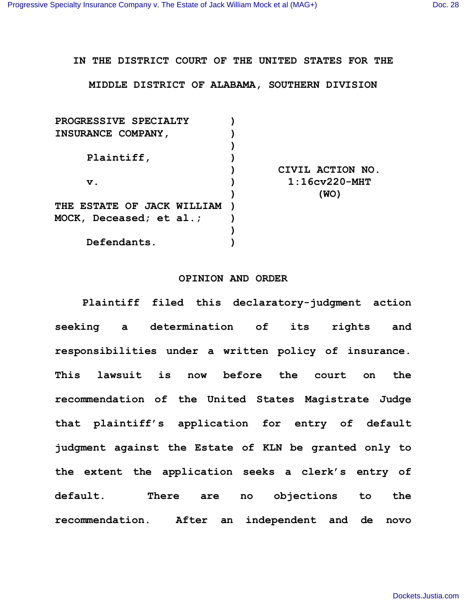## **IN THE DISTRICT COURT OF THE UNITED STATES FOR THE**

## **MIDDLE DISTRICT OF ALABAMA, SOUTHERN DIVISION**

| PROGRESSIVE SPECIALTY             |                  |
|-----------------------------------|------------------|
| <b>INSURANCE COMPANY,</b>         |                  |
|                                   |                  |
| Plaintiff,                        |                  |
|                                   | CIVIL ACTION NO. |
| $\mathbf v$ .                     | $1:16cv220-MHT$  |
|                                   | (WO)             |
| <b>THE ESTATE OF JACK WILLIAM</b> |                  |
| MOCK, Deceased; et al.;           |                  |
|                                   |                  |
| Defendants.                       |                  |
|                                   |                  |

## **OPINION AND ORDER**

**Plaintiff filed this declaratory-judgment action seeking a determination of its rights and responsibilities under a written policy of insurance. This lawsuit is now before the court on the recommendation of the United States Magistrate Judge that plaintiff's application for entry of default judgment against the Estate of KLN be granted only to the extent the application seeks a clerk's entry of default. There are no objections to the recommendation. After an independent and de novo**